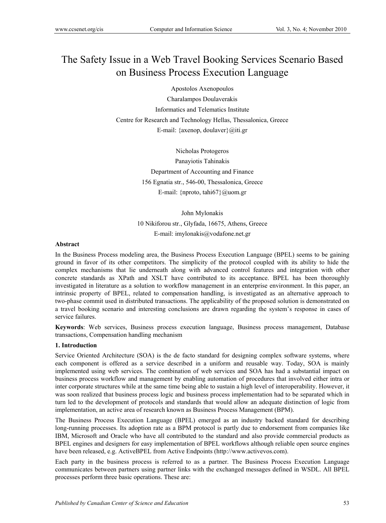# The Safety Issue in a Web Travel Booking Services Scenario Based on Business Process Execution Language

Apostolos Axenopoulos

Charalampos Doulaverakis Informatics and Telematics Institute Centre for Research and Technology Hellas, Thessalonica, Greece E-mail: {axenop, doulaver}@iti.gr

> Nicholas Protogeros Panayiotis Tahinakis Department of Accounting and Finance 156 Egnatia str., 546-00, Thessalonica, Greece E-mail: {nproto, tahi67}@uom.gr

John Mylonakis 10 Nikiforou str., Glyfada, 16675, Athens, Greece E-mail: imylonakis@vodafone.net.gr

#### **Abstract**

In the Business Process modeling area, the Business Process Execution Language (BPEL) seems to be gaining ground in favor of its other competitors. The simplicity of the protocol coupled with its ability to hide the complex mechanisms that lie underneath along with advanced control features and integration with other concrete standards as XPath and XSLT have contributed to its acceptance. BPEL has been thoroughly investigated in literature as a solution to workflow management in an enterprise environment. In this paper, an intrinsic property of BPEL, related to compensation handling, is investigated as an alternative approach to two-phase commit used in distributed transactions. The applicability of the proposed solution is demonstrated on a travel booking scenario and interesting conclusions are drawn regarding the system's response in cases of service failures.

**Keywords**: Web services, Business process execution language, Business process management, Database transactions, Compensation handling mechanism

# **1. Introduction**

Service Oriented Architecture (SOA) is the de facto standard for designing complex software systems, where each component is offered as a service described in a uniform and reusable way. Today, SOA is mainly implemented using web services. The combination of web services and SOA has had a substantial impact on business process workflow and management by enabling automation of procedures that involved either intra or inter corporate structures while at the same time being able to sustain a high level of interoperability. However, it was soon realized that business process logic and business process implementation had to be separated which in turn led to the development of protocols and standards that would allow an adequate distinction of logic from implementation, an active area of research known as Business Process Management (BPM).

The Business Process Execution Language (BPEL) emerged as an industry backed standard for describing long-running processes. Its adoption rate as a BPM protocol is partly due to endorsement from companies like IBM, Microsoft and Oracle who have all contributed to the standard and also provide commercial products as BPEL engines and designers for easy implementation of BPEL workflows although reliable open source engines have been released, e.g. ActiveBPEL from Active Endpoints (http://www.activevos.com).

Each party in the business process is referred to as a partner. The Business Process Execution Language communicates between partners using partner links with the exchanged messages defined in WSDL. All BPEL processes perform three basic operations. These are: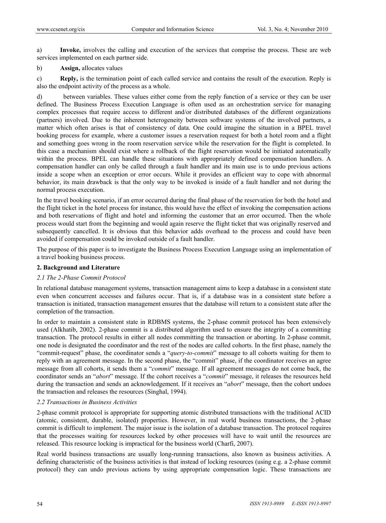a) **Invoke,** involves the calling and execution of the services that comprise the process. These are web services implemented on each partner side.

b) **Assign,** allocates values

c) **Reply,** is the termination point of each called service and contains the result of the execution. Reply is also the endpoint activity of the process as a whole.

d) between variables. These values either come from the reply function of a service or they can be user defined. The Business Process Execution Language is often used as an orchestration service for managing complex processes that require access to different and/or distributed databases of the different organizations (partners) involved. Due to the inherent heterogeneity between software systems of the involved partners, a matter which often arises is that of consistency of data. One could imagine the situation in a BPEL travel booking process for example, where a customer issues a reservation request for both a hotel room and a flight and something goes wrong in the room reservation service while the reservation for the flight is completed. In this case a mechanism should exist where a rollback of the flight reservation would be initiated automatically within the process. BPEL can handle these situations with appropriately defined compensation handlers. A compensation handler can only be called through a fault handler and its main use is to undo previous actions inside a scope when an exception or error occurs. While it provides an efficient way to cope with abnormal behavior, its main drawback is that the only way to be invoked is inside of a fault handler and not during the normal process execution.

In the travel booking scenario, if an error occurred during the final phase of the reservation for both the hotel and the flight ticket in the hotel process for instance, this would have the effect of invoking the compensation actions and both reservations of flight and hotel and informing the customer that an error occurred. Then the whole process would start from the beginning and would again reserve the flight ticket that was originally reserved and subsequently cancelled. It is obvious that this behavior adds overhead to the process and could have been avoided if compensation could be invoked outside of a fault handler.

The purpose of this paper is to investigate the Business Process Execution Language using an implementation of a travel booking business process.

# **2. Background and Literature**

#### *2.1 The 2-Phase Commit Protocol*

In relational database management systems, transaction management aims to keep a database in a consistent state even when concurrent accesses and failures occur. That is, if a database was in a consistent state before a transaction is initiated, transaction management ensures that the database will return to a consistent state after the completion of the transaction.

In order to maintain a consistent state in RDBMS systems, the 2-phase commit protocol has been extensively used (Alkhatib, 2002). 2-phase commit is a distributed algorithm used to ensure the integrity of a committing transaction. The protocol results in either all nodes committing the transaction or aborting. In 2-phase commit, one node is designated the coordinator and the rest of the nodes are called cohorts. In the first phase, namely the "commit-request" phase, the coordinator sends a "*query-to-commit*" message to all cohorts waiting for them to reply with an agreement message. In the second phase, the "commit" phase, if the coordinator receives an agree message from all cohorts, it sends them a "*commit*" message. If all agreement messages do not come back, the coordinator sends an "*abort*" message. If the cohort receives a "*commit*" message, it releases the resources held during the transaction and sends an acknowledgement. If it receives an "*abort*" message, then the cohort undoes the transaction and releases the resources (Singhal, 1994).

#### *2.2 Transactions in Business Activities*

2-phase commit protocol is appropriate for supporting atomic distributed transactions with the traditional ACID (atomic, consistent, durable, isolated) properties. However, in real world business transactions, the 2-phase commit is difficult to implement. The major issue is the isolation of a database transaction. The protocol requires that the processes waiting for resources locked by other processes will have to wait until the resources are released. This resource locking is impractical for the business world (Charfi, 2007).

Real world business transactions are usually long-running transactions, also known as business activities. A defining characteristic of the business activities is that instead of locking resources (using e.g. a 2-phase commit protocol) they can undo previous actions by using appropriate compensation logic. These transactions are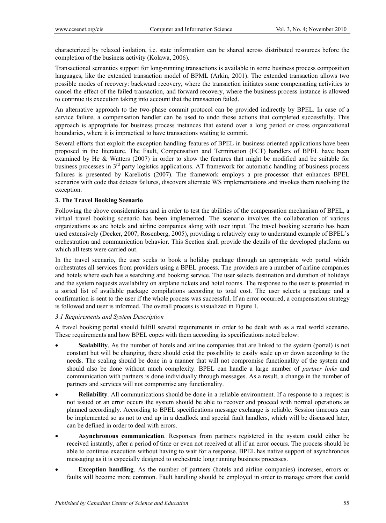characterized by relaxed isolation, i.e. state information can be shared across distributed resources before the completion of the business activity (Kolawa, 2006).

Transactional semantics support for long-running transactions is available in some business process composition languages, like the extended transaction model of BPML (Arkin, 2001). The extended transaction allows two possible modes of recovery: backward recovery, where the transaction initiates some compensating activities to cancel the effect of the failed transaction, and forward recovery, where the business process instance is allowed to continue its execution taking into account that the transaction failed.

An alternative approach to the two-phase commit protocol can be provided indirectly by BPEL. In case of a service failure, a compensation handler can be used to undo those actions that completed successfully. This approach is appropriate for business process instances that extend over a long period or cross organizational boundaries, where it is impractical to have transactions waiting to commit.

Several efforts that exploit the exception handling features of BPEL in business oriented applications have been proposed in the literature. The Fault, Compensation and Termination (FCT) handlers of BPEL have been examined by He & Watters (2007) in order to show the features that might be modified and be suitable for business processes in 3rd party logistics applications. AT framework for automatic handling of business process failures is presented by Kareliotis (2007). The framework employs a pre-processor that enhances BPEL scenarios with code that detects failures, discovers alternate WS implementations and invokes them resolving the exception.

# **3. The Travel Booking Scenario**

Following the above considerations and in order to test the abilities of the compensation mechanism of BPEL, a virtual travel booking scenario has been implemented. The scenario involves the collaboration of various organizations as are hotels and airline companies along with user input. The travel booking scenario has been used extensively (Decker, 2007, Rosenberg, 2005), providing a relatively easy to understand example of BPEL's orchestration and communication behavior. This Section shall provide the details of the developed platform on which all tests were carried out.

In the travel scenario, the user seeks to book a holiday package through an appropriate web portal which orchestrates all services from providers using a BPEL process. The providers are a number of airline companies and hotels where each has a searching and booking service. The user selects destination and duration of holidays and the system requests availability on airplane tickets and hotel rooms. The response to the user is presented in a sorted list of available package compilations according to total cost. The user selects a package and a confirmation is sent to the user if the whole process was successful. If an error occurred, a compensation strategy is followed and user is informed. The overall process is visualized in Figure 1.

# *3.1 Requirements and System Description*

A travel booking portal should fulfill several requirements in order to be dealt with as a real world scenario. These requirements and how BPEL copes with them according its specifications noted below:

- **Scalability**. As the number of hotels and airline companies that are linked to the system (portal) is not constant but will be changing, there should exist the possibility to easily scale up or down according to the needs. The scaling should be done in a manner that will not compromise functionality of the system and should also be done without much complexity. BPEL can handle a large number of *partner links* and communication with partners is done individually through messages. As a result, a change in the number of partners and services will not compromise any functionality.
- **Reliability**. All communications should be done in a reliable environment. If a response to a request is not issued or an error occurs the system should be able to recover and proceed with normal operations as planned accordingly. According to BPEL specifications message exchange is reliable. Session timeouts can be implemented so as not to end up in a deadlock and special fault handlers, which will be discussed later, can be defined in order to deal with errors.
- **Asynchronous communication**. Responses from partners registered in the system could either be received instantly, after a period of time or even not received at all if an error occurs. The process should be able to continue execution without having to wait for a response. BPEL has native support of asynchronous messaging as it is especially designed to orchestrate long running business processes.
- **Exception handling**. As the number of partners (hotels and airline companies) increases, errors or faults will become more common. Fault handling should be employed in order to manage errors that could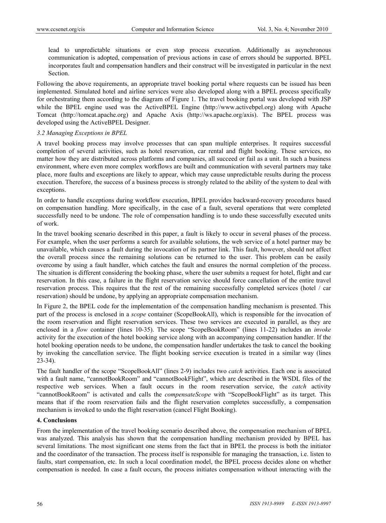lead to unpredictable situations or even stop process execution. Additionally as asynchronous communication is adopted, compensation of previous actions in case of errors should be supported. BPEL incorporates fault and compensation handlers and their construct will be investigated in particular in the next Section.

Following the above requirements, an appropriate travel booking portal where requests can be issued has been implemented. Simulated hotel and airline services were also developed along with a BPEL process specifically for orchestrating them according to the diagram of Figure 1. The travel booking portal was developed with JSP while the BPEL engine used was the ActiveBPEL Engine (http://www.activebpel.org) along with Apache Tomcat (http://tomcat.apache.org) and Apache Axis (http://ws.apache.org/axis). The BPEL process was developed using the ActiveBPEL Designer.

#### *3.2 Managing Exceptions in BPEL*

A travel booking process may involve processes that can span multiple enterprises. It requires successful completion of several activities, such as hotel reservation, car rental and flight booking. These services, no matter how they are distributed across platforms and companies, all succeed or fail as a unit. In such a business environment, where even more complex workflows are built and communication with several partners may take place, more faults and exceptions are likely to appear, which may cause unpredictable results during the process execution. Therefore, the success of a business process is strongly related to the ability of the system to deal with exceptions.

In order to handle exceptions during workflow execution, BPEL provides backward-recovery procedures based on compensation handling. More specifically, in the case of a fault, several operations that were completed successfully need to be undone. The role of compensation handling is to undo these successfully executed units of work.

In the travel booking scenario described in this paper, a fault is likely to occur in several phases of the process. For example, when the user performs a search for available solutions, the web service of a hotel partner may be unavailable, which causes a fault during the invocation of its partner link. This fault, however, should not affect the overall process since the remaining solutions can be returned to the user. This problem can be easily overcome by using a fault handler, which catches the fault and ensures the normal completion of the process. The situation is different considering the booking phase, where the user submits a request for hotel, flight and car reservation. In this case, a failure in the flight reservation service should force cancellation of the entire travel reservation process. This requires that the rest of the remaining successfully completed services (hotel / car reservation) should be undone, by applying an appropriate compensation mechanism.

In Figure 2, the BPEL code for the implementation of the compensation handling mechanism is presented. This part of the process is enclosed in a *scope* container (ScopeBookAll), which is responsible for the invocation of the room reservation and flight reservation services. These two services are executed in parallel, as they are enclosed in a *flow* container (lines 10-35). The scope "ScopeBookRoom" (lines 11-22) includes an *invoke* activity for the execution of the hotel booking service along with an accompanying compensation handler. If the hotel booking operation needs to be undone, the compensation handler undertakes the task to cancel the booking by invoking the cancellation service. The flight booking service execution is treated in a similar way (lines 23-34).

The fault handler of the scope "ScopeBookAll" (lines 2-9) includes two *catch* activities. Each one is associated with a fault name, "cannotBookRoom" and "cannotBookFlight", which are described in the WSDL files of the respective web services. When a fault occurs in the room reservation service, the *catch* activity "cannotBookRoom" is activated and calls the *compensateScope* with "ScopeBookFlight" as its target. This means that if the room reservation fails and the flight reservation completes successfully, a compensation mechanism is invoked to undo the flight reservation (cancel Flight Booking).

# **4. Conclusions**

From the implementation of the travel booking scenario described above, the compensation mechanism of BPEL was analyzed. This analysis has shown that the compensation handling mechanism provided by BPEL has several limitations. The most significant one stems from the fact that in BPEL the process is both the initiator and the coordinator of the transaction. The process itself is responsible for managing the transaction, i.e. listen to faults, start compensation, etc. In such a local coordination model, the BPEL process decides alone on whether compensation is needed. In case a fault occurs, the process initiates compensation without interacting with the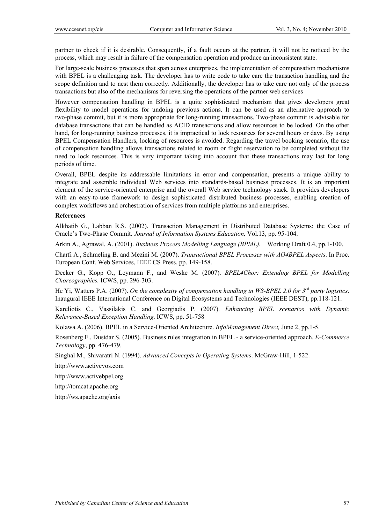partner to check if it is desirable. Consequently, if a fault occurs at the partner, it will not be noticed by the process, which may result in failure of the compensation operation and produce an inconsistent state.

For large-scale business processes that span across enterprises, the implementation of compensation mechanisms with BPEL is a challenging task. The developer has to write code to take care the transaction handling and the scope definition and to nest them correctly. Additionally, the developer has to take care not only of the process transactions but also of the mechanisms for reversing the operations of the partner web services

However compensation handling in BPEL is a quite sophisticated mechanism that gives developers great flexibility to model operations for undoing previous actions. It can be used as an alternative approach to two-phase commit, but it is more appropriate for long-running transactions. Two-phase commit is advisable for database transactions that can be handled as ACID transactions and allow resources to be locked. On the other hand, for long-running business processes, it is impractical to lock resources for several hours or days. By using BPEL Compensation Handlers, locking of resources is avoided. Regarding the travel booking scenario, the use of compensation handling allows transactions related to room or flight reservation to be completed without the need to lock resources. This is very important taking into account that these transactions may last for long periods of time.

Overall, BPEL despite its addressable limitations in error and compensation, presents a unique ability to integrate and assemble individual Web services into standards-based business processes. It is an important element of the service-oriented enterprise and the overall Web service technology stack. It provides developers with an easy-to-use framework to design sophisticated distributed business processes, enabling creation of complex workflows and orchestration of services from multiple platforms and enterprises.

#### **References**

Alkhatib G., Labban R.S. (2002). Transaction Management in Distributed Database Systems: the Case of Oracle's Two-Phase Commit. *Journal of Information Systems Education,* Vol.13, pp. 95-104.

Arkin A., Agrawal, A. (2001). *Business Process Modelling Language (BPML).* Working Draft 0.4, pp.1-100.

Charfi A., Schmeling B. and Mezini M. (2007). *Transactional BPEL Processes with AO4BPEL Aspects*. In Proc. European Conf. Web Services, IEEE CS Press, pp. 149-158.

Decker G., Kopp O., Leymann F., and Weske M. (2007). *BPEL4Chor: Extending BPEL for Modelling Choreographies.* ICWS, pp. 296-303.

He Yi, Watters P.A. (2007). *On the complexity of compensation handling in WS-BPEL 2.0 for 3rd party logistics*. Inaugural IEEE International Conference on Digital Ecosystems and Technologies (IEEE DEST), pp.118-121.

Kareliotis C., Vassilakis C. and Georgiadis P. (2007). *Enhancing BPEL scenarios with Dynamic Relevance-Based Exception Handling*. ICWS, pp. 51-758

Kolawa A. (2006). BPEL in a Service-Oriented Architecture. *InfoManagement Direct,* June 2, pp.1-5.

Rosenberg F., Dustdar S. (2005). Business rules integration in BPEL - a service-oriented approach. *E-Commerce Technology*, pp. 476-479.

Singhal M., Shivaratri N. (1994). *Advanced Concepts in Operating Systems*. McGraw-Hill, 1-522.

http://www.activevos.com

http://www.activebpel.org

http://tomcat.apache.org

http://ws.apache.org/axis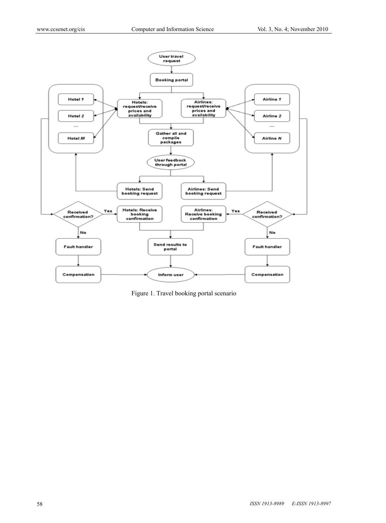

Figure 1. Travel booking portal scenario